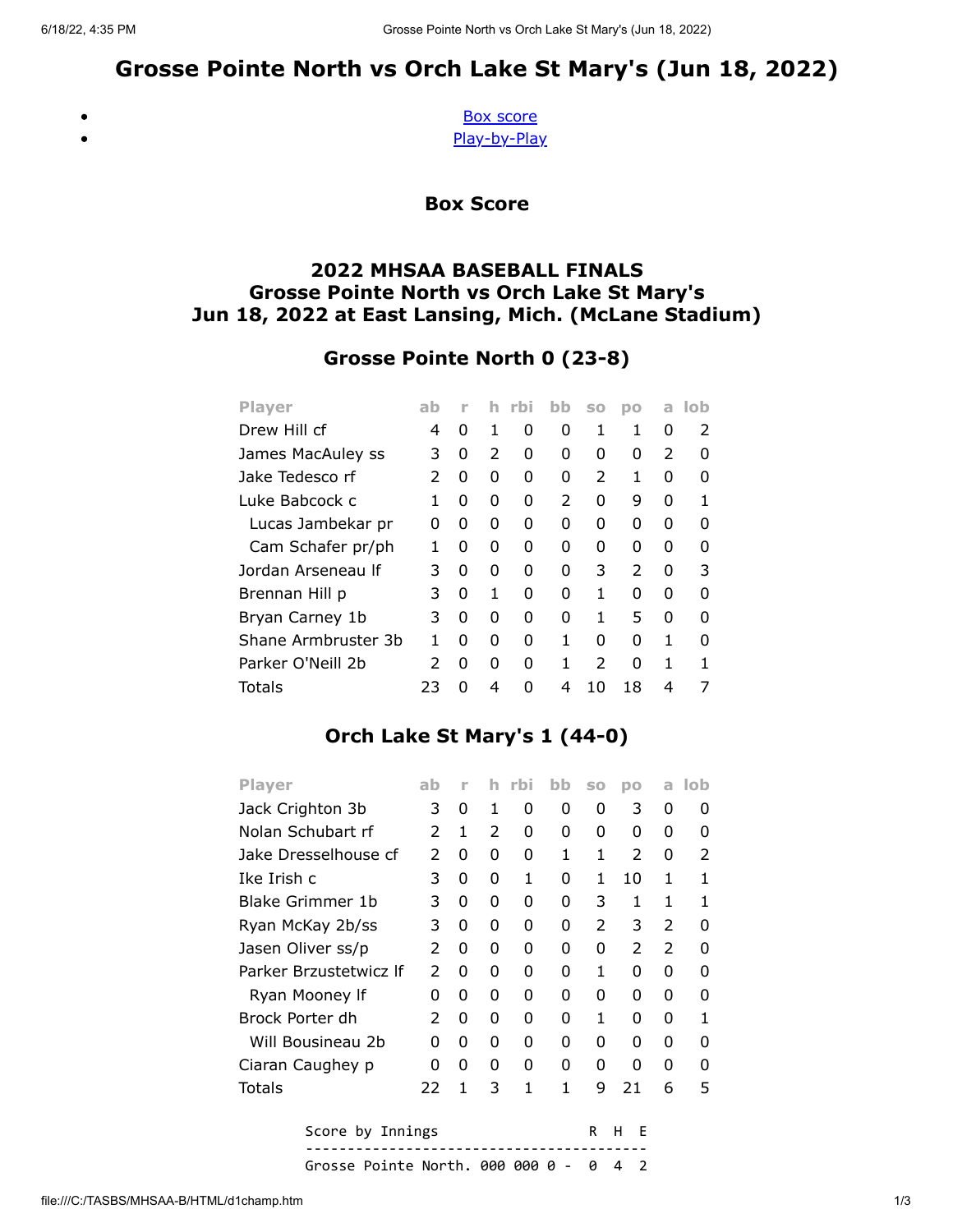# Grosse Pointe North vs Orch Lake St Mary's (Jun 18, 2022)

<span id="page-0-0"></span> $\bullet$ 

[Box score](#page-0-0) [Play-by-Play](#page-1-0)

Box Score

#### 2022 MHSAA BASEBALL FINALS Grosse Pointe North vs Orch Lake St Mary's Jun 18, 2022 at East Lansing, Mich. (McLane Stadium)

## Grosse Pointe North 0 (23-8)

| <b>Player</b>       | ab | r | h             | rbi | bb            | S <sub>0</sub> | <b>DO</b>     | a             | -lob |
|---------------------|----|---|---------------|-----|---------------|----------------|---------------|---------------|------|
| Drew Hill cf        | 4  | O | 1             | O   | O             | 1              | 1             | ŋ             | 2    |
| James MacAuley ss   | 3  | 0 | $\mathcal{P}$ | O   | O             | O              | 0             | $\mathcal{P}$ | O    |
| Jake Tedesco rf     | 2  | 0 | 0             | O   | 0             | $\mathcal{P}$  | 1             | O             | O    |
| Luke Babcock c      |    | 0 | 0             | O   | $\mathcal{P}$ | 0              | 9             | O             |      |
| Lucas Jambekar pr   | 0  | n | 0             | ŋ   | n             | ŋ              | 0             | ŋ             | O    |
| Cam Schafer pr/ph   |    | O | 0             | O   | n             | O              | 0             | O             | n    |
| Jordan Arseneau If  | 3  | O | 0             | ŋ   | O             | 3              | $\mathcal{P}$ | O             | 3    |
| Brennan Hill p      | 3  | 0 | 1             | ŋ   | O             | 1              | U             | U             | n    |
| Bryan Carney 1b     | 3  | O | O             | O   | O             | 1              | 5             | U             | n    |
| Shane Armbruster 3b |    | n | O             | O   | 1             | O              | U             | 1             | n    |
| Parker O'Neill 2b   | 2  | O | 0             | O   | 1             | $\mathcal{P}$  | O             | 1             |      |
| Totals              | 23 |   | 4             | n   | 4             | 10             | 18            | 4             |      |

### Orch Lake St Mary's 1 (44-0)

| <b>Player</b>          | ab | ۲ |   | rbi | hh | SO | DO            | a             | lob |
|------------------------|----|---|---|-----|----|----|---------------|---------------|-----|
| Jack Crighton 3b       | 3  | 0 | 1 | 0   | 0  | 0  | 3             | 0             | O   |
| Nolan Schubart rf      | 2  | 1 | 2 | 0   | 0  | 0  | 0             | 0             | O   |
| Jake Dresselhouse cf   | 2  | 0 | 0 | 0   | 1  | 1  | 2             | 0             | 2   |
| Ike Irish c            | 3  | 0 | 0 | 1   | O  | 1  | 10            | 1             | 1   |
| Blake Grimmer 1b       | 3  | 0 | 0 | O   | 0  | 3  | 1             | 1             | 1   |
| Ryan McKay 2b/ss       | 3  | 0 | 0 | 0   | 0  | 2  | 3             | $\mathcal{P}$ | O   |
| Jasen Oliver ss/p      | 2  | O | 0 | O   | 0  | O  | $\mathcal{P}$ | $\mathcal{P}$ | ŋ   |
| Parker Brzustetwicz If | 2  | O | 0 | O   | O  | 1  | 0             | 0             | ŋ   |
| Ryan Mooney If         | 0  | 0 | 0 | 0   | 0  | 0  | 0             | 0             | O   |
| Brock Porter dh        | 2  | O | 0 | O   | O  | 1  | O             | O             | 1   |
| Will Bousineau 2b      | 0  | O | 0 | O   | 0  | O  | 0             | O             | ŋ   |
| Ciaran Caughey p       | 0  | 0 | 0 | 0   | 0  | 0  | 0             | 0             | ŋ   |
| Totals                 | 22 | 1 | 3 | 1   | 1  | 9  | 21            | 6             | 5   |
| Score by Innings       |    |   |   |     |    | R  | н<br>F        |               |     |
|                        |    |   |   |     |    |    |               |               |     |

Grosse Pointe North. 000 000 0 - 0 4 2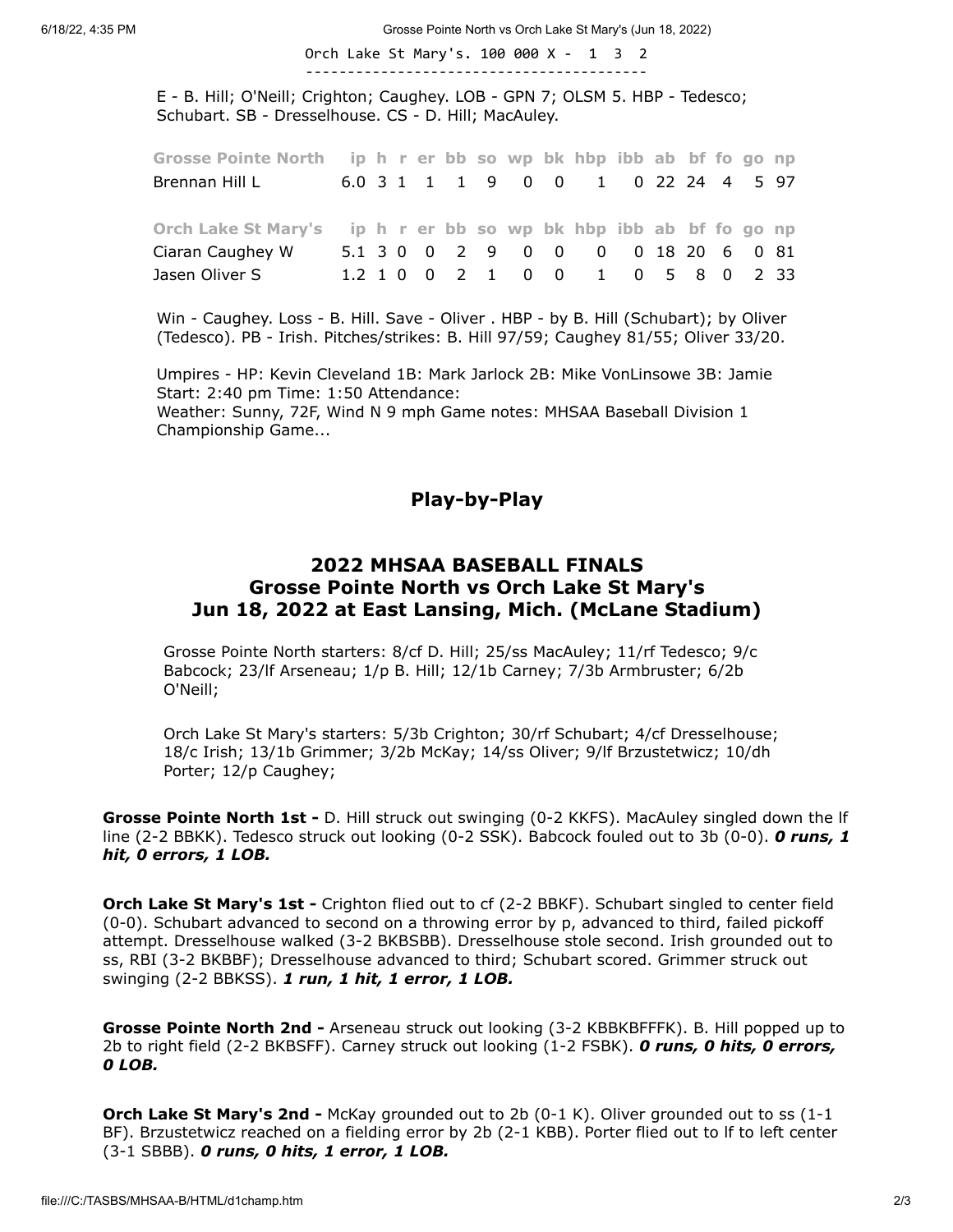6/18/22, 4:35 PM Grosse Pointe North vs Orch Lake St Mary's (Jun 18, 2022)

Orch Lake St Mary's. 100 000 X - 1 3 2 -----------------------------------------

E - B. Hill; O'Neill; Crighton; Caughey. LOB - GPN 7; OLSM 5. HBP - Tedesco; Schubart. SB - Dresselhouse. CS - D. Hill; MacAuley.

| Grosse Pointe North ip h r er bb so wp bk hbp ibb ab bf fo go np |  |  |  |  |                                    |  |  |  |
|------------------------------------------------------------------|--|--|--|--|------------------------------------|--|--|--|
| Brennan Hill L                                                   |  |  |  |  | 6.0 3 1 1 1 9 0 0 1 0 22 24 4 5 97 |  |  |  |
|                                                                  |  |  |  |  |                                    |  |  |  |
|                                                                  |  |  |  |  |                                    |  |  |  |
| Orch Lake St Mary's ip h r er bb so wp bk hbp ibb ab bf fo go np |  |  |  |  |                                    |  |  |  |
| Ciaran Caughey W                                                 |  |  |  |  | 5.1 3 0 0 2 9 0 0 0 0 18 20 6 0 81 |  |  |  |

Win - Caughey. Loss - B. Hill. Save - Oliver . HBP - by B. Hill (Schubart); by Oliver (Tedesco). PB - Irish. Pitches/strikes: B. Hill 97/59; Caughey 81/55; Oliver 33/20.

Umpires - HP: Kevin Cleveland 1B: Mark Jarlock 2B: Mike VonLinsowe 3B: Jamie Start: 2:40 pm Time: 1:50 Attendance: Weather: Sunny, 72F, Wind N 9 mph Game notes: MHSAA Baseball Division 1

<span id="page-1-0"></span>Championship Game...

#### Play-by-Play

#### 2022 MHSAA BASEBALL FINALS Grosse Pointe North vs Orch Lake St Mary's Jun 18, 2022 at East Lansing, Mich. (McLane Stadium)

Grosse Pointe North starters: 8/cf D. Hill; 25/ss MacAuley; 11/rf Tedesco; 9/c Babcock; 23/lf Arseneau; 1/p B. Hill; 12/1b Carney; 7/3b Armbruster; 6/2b O'Neill;

Orch Lake St Mary's starters: 5/3b Crighton; 30/rf Schubart; 4/cf Dresselhouse; 18/c Irish; 13/1b Grimmer; 3/2b McKay; 14/ss Oliver; 9/lf Brzustetwicz; 10/dh Porter; 12/p Caughey;

Grosse Pointe North 1st - D. Hill struck out swinging (0-2 KKFS). MacAuley singled down the If line (2-2 BBKK). Tedesco struck out looking (0-2 SSK). Babcock fouled out to 3b (0-0). **O runs, 1** hit, 0 errors, 1 LOB.

Orch Lake St Mary's 1st - Crighton flied out to cf (2-2 BBKF). Schubart singled to center field (0-0). Schubart advanced to second on a throwing error by p, advanced to third, failed pickoff attempt. Dresselhouse walked (3-2 BKBSBB). Dresselhouse stole second. Irish grounded out to ss, RBI (3-2 BKBBF); Dresselhouse advanced to third; Schubart scored. Grimmer struck out swinging (2-2 BBKSS). 1 run, 1 hit, 1 error, 1 LOB.

Grosse Pointe North 2nd - Arseneau struck out looking (3-2 KBBKBFFFK). B. Hill popped up to 2b to right field (2-2 BKBSFF). Carney struck out looking (1-2 FSBK). O runs, O hits, O errors, 0 LOB.

**Orch Lake St Mary's 2nd -** McKay grounded out to 2b (0-1 K). Oliver grounded out to ss (1-1 BF). Brzustetwicz reached on a fielding error by 2b (2-1 KBB). Porter flied out to lf to left center (3-1 SBBB). 0 runs, 0 hits, 1 error, 1 LOB.